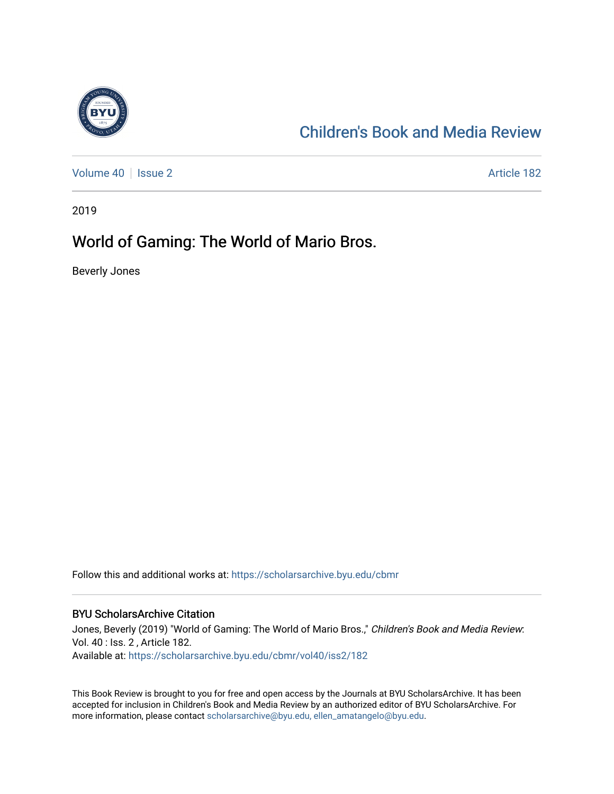

# [Children's Book and Media Review](https://scholarsarchive.byu.edu/cbmr)

[Volume 40](https://scholarsarchive.byu.edu/cbmr/vol40) | [Issue 2](https://scholarsarchive.byu.edu/cbmr/vol40/iss2) Article 182

2019

## World of Gaming: The World of Mario Bros.

Beverly Jones

Follow this and additional works at: [https://scholarsarchive.byu.edu/cbmr](https://scholarsarchive.byu.edu/cbmr?utm_source=scholarsarchive.byu.edu%2Fcbmr%2Fvol40%2Fiss2%2F182&utm_medium=PDF&utm_campaign=PDFCoverPages) 

#### BYU ScholarsArchive Citation

Jones, Beverly (2019) "World of Gaming: The World of Mario Bros.," Children's Book and Media Review: Vol. 40 : Iss. 2 , Article 182. Available at: [https://scholarsarchive.byu.edu/cbmr/vol40/iss2/182](https://scholarsarchive.byu.edu/cbmr/vol40/iss2/182?utm_source=scholarsarchive.byu.edu%2Fcbmr%2Fvol40%2Fiss2%2F182&utm_medium=PDF&utm_campaign=PDFCoverPages) 

This Book Review is brought to you for free and open access by the Journals at BYU ScholarsArchive. It has been accepted for inclusion in Children's Book and Media Review by an authorized editor of BYU ScholarsArchive. For more information, please contact [scholarsarchive@byu.edu, ellen\\_amatangelo@byu.edu.](mailto:scholarsarchive@byu.edu,%20ellen_amatangelo@byu.edu)